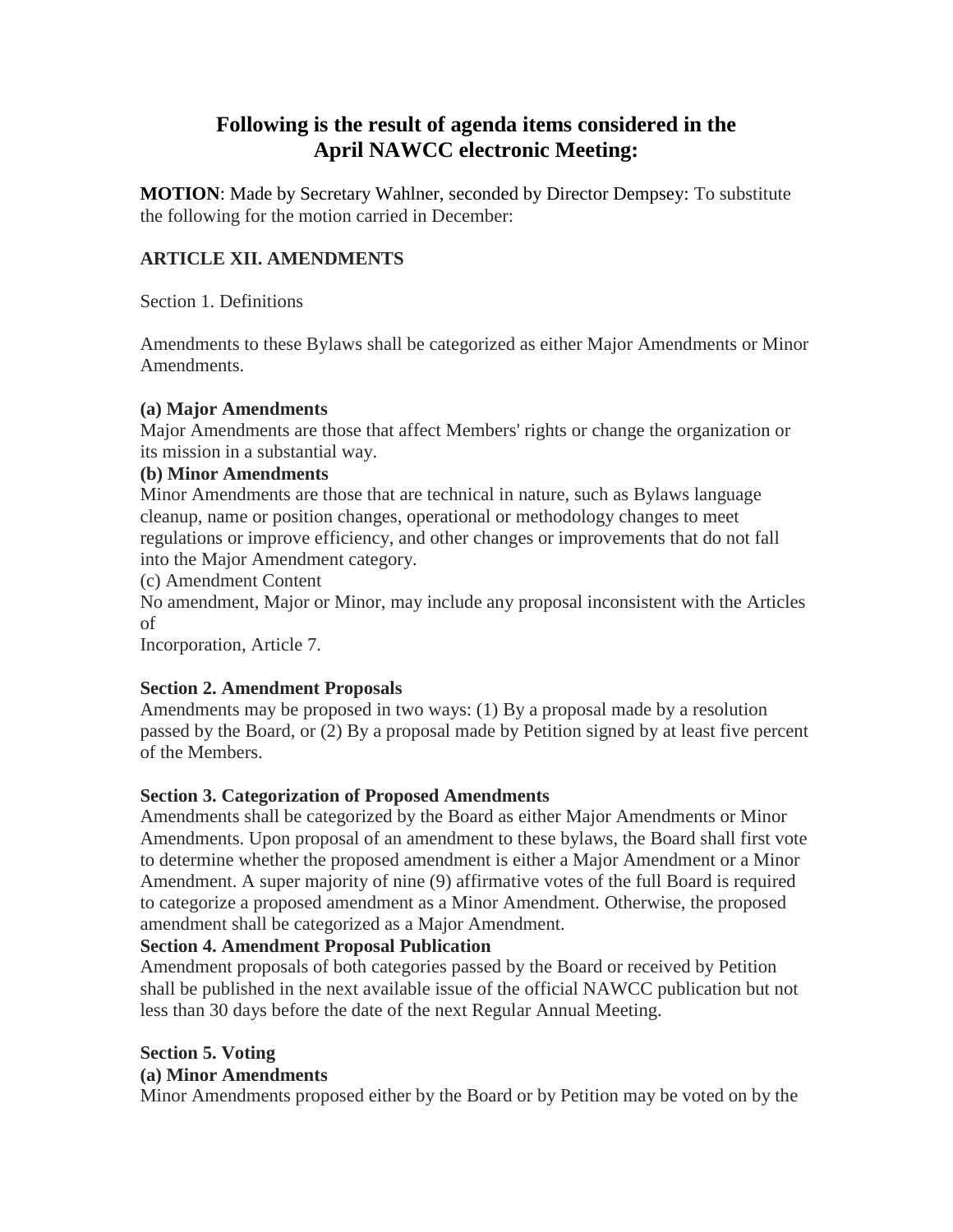# **Following is the result of agenda items considered in the April NAWCC electronic Meeting:**

**MOTION**: Made by Secretary Wahlner, seconded by Director Dempsey: To substitute the following for the motion carried in December:

## **ARTICLE XII. AMENDMENTS**

Section 1. Definitions

Amendments to these Bylaws shall be categorized as either Major Amendments or Minor Amendments.

#### **(a) Major Amendments**

Major Amendments are those that affect Members' rights or change the organization or its mission in a substantial way.

#### **(b) Minor Amendments**

Minor Amendments are those that are technical in nature, such as Bylaws language cleanup, name or position changes, operational or methodology changes to meet regulations or improve efficiency, and other changes or improvements that do not fall into the Major Amendment category.

(c) Amendment Content

No amendment, Major or Minor, may include any proposal inconsistent with the Articles of

Incorporation, Article 7.

## **Section 2. Amendment Proposals**

Amendments may be proposed in two ways: (1) By a proposal made by a resolution passed by the Board, or (2) By a proposal made by Petition signed by at least five percent of the Members.

## **Section 3. Categorization of Proposed Amendments**

Amendments shall be categorized by the Board as either Major Amendments or Minor Amendments. Upon proposal of an amendment to these bylaws, the Board shall first vote to determine whether the proposed amendment is either a Major Amendment or a Minor Amendment. A super majority of nine (9) affirmative votes of the full Board is required to categorize a proposed amendment as a Minor Amendment. Otherwise, the proposed amendment shall be categorized as a Major Amendment.

## **Section 4. Amendment Proposal Publication**

Amendment proposals of both categories passed by the Board or received by Petition shall be published in the next available issue of the official NAWCC publication but not less than 30 days before the date of the next Regular Annual Meeting.

## **Section 5. Voting**

## **(a) Minor Amendments**

Minor Amendments proposed either by the Board or by Petition may be voted on by the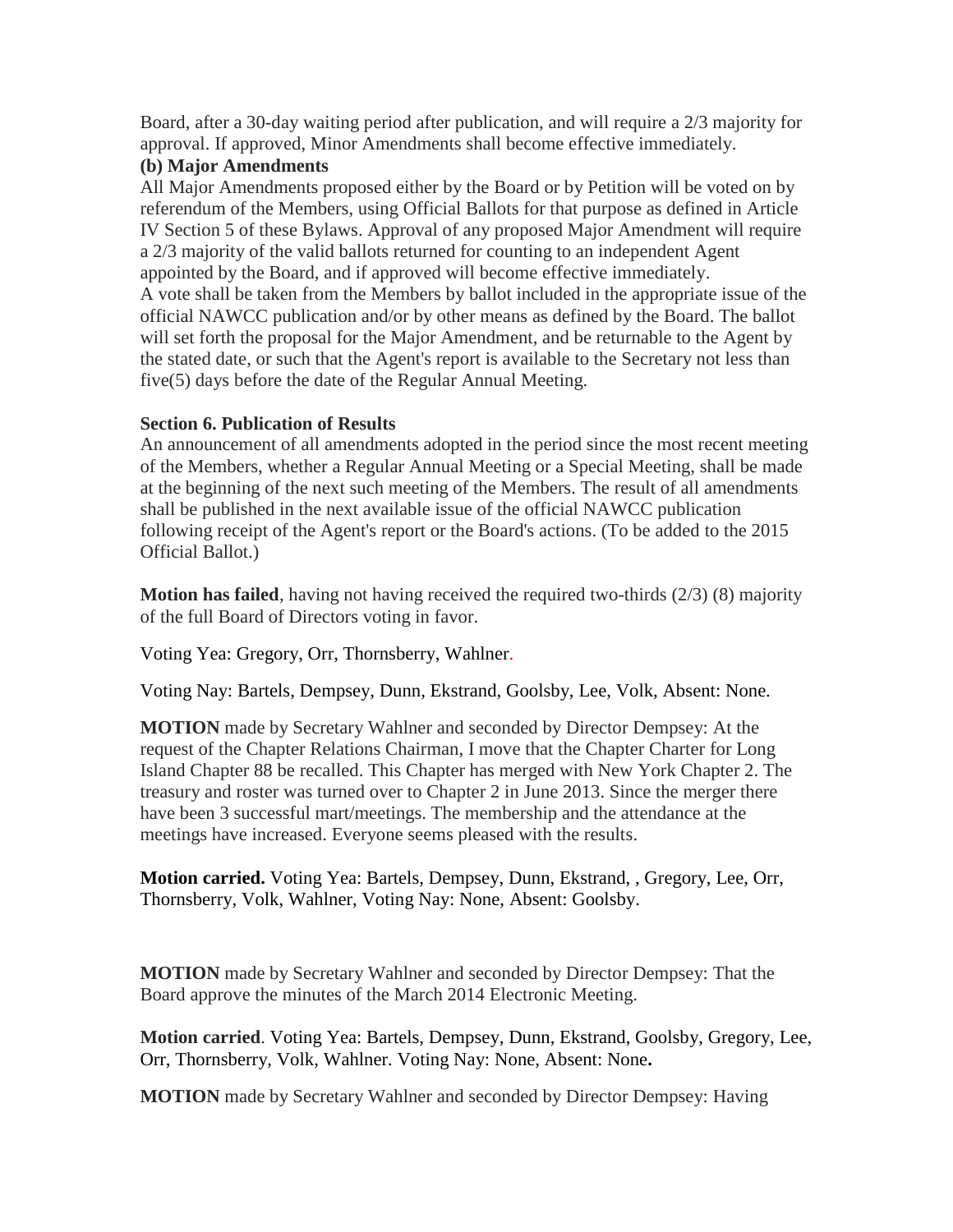Board, after a 30-day waiting period after publication, and will require a 2/3 majority for approval. If approved, Minor Amendments shall become effective immediately.

## **(b) Major Amendments**

All Major Amendments proposed either by the Board or by Petition will be voted on by referendum of the Members, using Official Ballots for that purpose as defined in Article IV Section 5 of these Bylaws. Approval of any proposed Major Amendment will require a 2/3 majority of the valid ballots returned for counting to an independent Agent appointed by the Board, and if approved will become effective immediately. A vote shall be taken from the Members by ballot included in the appropriate issue of the official NAWCC publication and/or by other means as defined by the Board. The ballot will set forth the proposal for the Major Amendment, and be returnable to the Agent by the stated date, or such that the Agent's report is available to the Secretary not less than five(5) days before the date of the Regular Annual Meeting.

# **Section 6. Publication of Results**

An announcement of all amendments adopted in the period since the most recent meeting of the Members, whether a Regular Annual Meeting or a Special Meeting, shall be made at the beginning of the next such meeting of the Members. The result of all amendments shall be published in the next available issue of the official NAWCC publication following receipt of the Agent's report or the Board's actions. (To be added to the 2015 Official Ballot.)

**Motion has failed**, having not having received the required two-thirds (2/3) (8) majority of the full Board of Directors voting in favor.

Voting Yea: Gregory, Orr, Thornsberry, Wahlner.

Voting Nay: Bartels, Dempsey, Dunn, Ekstrand, Goolsby, Lee, Volk, Absent: None.

**MOTION** made by Secretary Wahlner and seconded by Director Dempsey: At the request of the Chapter Relations Chairman, I move that the Chapter Charter for Long Island Chapter 88 be recalled. This Chapter has merged with New York Chapter 2. The treasury and roster was turned over to Chapter 2 in June 2013. Since the merger there have been 3 successful mart/meetings. The membership and the attendance at the meetings have increased. Everyone seems pleased with the results.

**Motion carried.** Voting Yea: Bartels, Dempsey, Dunn, Ekstrand, , Gregory, Lee, Orr, Thornsberry, Volk, Wahlner, Voting Nay: None, Absent: Goolsby.

**MOTION** made by Secretary Wahlner and seconded by Director Dempsey: That the Board approve the minutes of the March 2014 Electronic Meeting.

**Motion carried**. Voting Yea: Bartels, Dempsey, Dunn, Ekstrand, Goolsby, Gregory, Lee, Orr, Thornsberry, Volk, Wahlner. Voting Nay: None, Absent: None**.**

**MOTION** made by Secretary Wahlner and seconded by Director Dempsey: Having